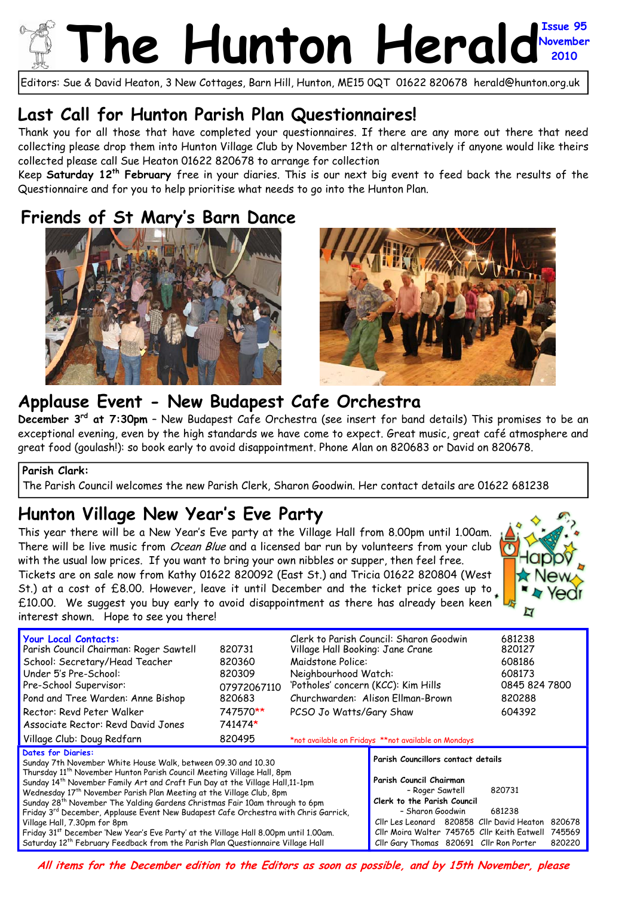## The Hunton Herald November **November 2010**

Editors: Sue & David Heaton, 3 New Cottages, Barn Hill, Hunton, ME15 0QT 01622 820678 herald@hunton.org.uk

### **Last Call for Hunton Parish Plan Questionnaires!**

Thank you for all those that have completed your questionnaires. If there are any more out there that need collecting please drop them into Hunton Village Club by November 12th or alternatively if anyone would like theirs collected please call Sue Heaton 01622 820678 to arrange for collection

Keep **Saturday 12th February** free in your diaries. This is our next big event to feed back the results of the Questionnaire and for you to help prioritise what needs to go into the Hunton Plan.

## **Friends of St Mary's Barn Dance**





### **Applause Event - New Budapest Cafe Orchestra**

**December 3rd at 7:30pm** – New Budapest Cafe Orchestra (see insert for band details) This promises to be an exceptional evening, even by the high standards we have come to expect. Great music, great café atmosphere and great food (goulash!): so book early to avoid disappointment. Phone Alan on 820683 or David on 820678.

#### **Parish Clark:**

The Parish Council welcomes the new Parish Clerk, Sharon Goodwin. Her contact details are 01622 681238

## **Hunton Village New Year's Eve Party**

This year there will be a New Year's Eve party at the Village Hall from 8.00pm until 1.00am. There will be live music from *Ocean Blue* and a licensed bar run by volunteers from your club with the usual low prices. If you want to bring your own nibbles or supper, then feel free. Tickets are on sale now from Kathy 01622 820092 (East St.) and Tricia 01622 820804 (West St.) at a cost of £8.00. However, leave it until December and the ticket price goes up to £10.00. We suggest you buy early to avoid disappointment as there has already been keen interest shown. Hope to see you there!



| <b>Your Local Contacts:</b><br>Parish Council Chairman: Roger Sawtell<br>School: Secretary/Head Teacher<br>Under 5's Pre-School:<br>Pre-School Supervisor:<br>Pond and Tree Warden: Anne Bishop<br>Rector: Revd Peter Walker<br>Associate Rector: Revd David Jones<br>Village Club: Doug Redfarn                                                                                                                                                                                                                                                                                                                                                                                                                                                                                                   | 820731<br>820360<br>820309<br>07972067110<br>820683<br>747570**<br>741474*<br>820495 | Clerk to Parish Council: Sharon Goodwin<br>Village Hall Booking: Jane Crane<br>Maidstone Police:<br>Neighbourhood Watch:<br>'Potholes' concern (KCC): Kim Hills<br>Churchwarden: Alison Ellman-Brown<br>PCSO Jo Watts/Gary Shaw<br>*not available on Fridays **not available on Mondays |                                                                                                                                                                                                                                                                                                                              |  | 681238<br>820127<br>608186<br>608173<br>0845 824 7800<br>820288<br>604392 |  |
|----------------------------------------------------------------------------------------------------------------------------------------------------------------------------------------------------------------------------------------------------------------------------------------------------------------------------------------------------------------------------------------------------------------------------------------------------------------------------------------------------------------------------------------------------------------------------------------------------------------------------------------------------------------------------------------------------------------------------------------------------------------------------------------------------|--------------------------------------------------------------------------------------|-----------------------------------------------------------------------------------------------------------------------------------------------------------------------------------------------------------------------------------------------------------------------------------------|------------------------------------------------------------------------------------------------------------------------------------------------------------------------------------------------------------------------------------------------------------------------------------------------------------------------------|--|---------------------------------------------------------------------------|--|
| <b>Dates for Diaries:</b><br>Sunday 7th November White House Walk, between 09.30 and 10.30<br>Thursday 11 <sup>th</sup> November Hunton Parish Council Meeting Village Hall, 8pm<br>Sunday 14 <sup>th</sup> November Family Art and Craft Fun Day at the Village Hall, 11-1pm<br>Wednesday 17 <sup>th</sup> November Parish Plan Meeting at the Village Club, 8pm<br>Sunday 28 <sup>th</sup> November The Yalding Gardens Christmas Fair 10am through to 6pm<br>Friday 3 <sup>rd</sup> December, Applause Event New Budapest Cafe Orchestra with Chris Garrick,<br>Village Hall, 7.30pm for 8pm<br>Friday 31 <sup>st</sup> December 'New Year's Eve Party' at the Village Hall 8.00pm until 1.00am.<br>Saturday 12 <sup>th</sup> February Feedback from the Parish Plan Questionnaire Village Hall |                                                                                      |                                                                                                                                                                                                                                                                                         | Parish Councillors contact details<br>Parish Council Chairman<br>- Roger Sawtell<br>820731<br>Clerk to the Parish Council<br>- Sharon Goodwin<br>681238<br>Cllr Les Leonard 820858 Cllr David Heaton<br>820678<br>Cllr Moira Walter 745765 Cllr Keith Eatwell<br>745569<br>Cllr Gary Thomas 820691 Cllr Ron Porter<br>820220 |  |                                                                           |  |

**All items for the December edition to the Editors as soon as possible, and by 15th November, please**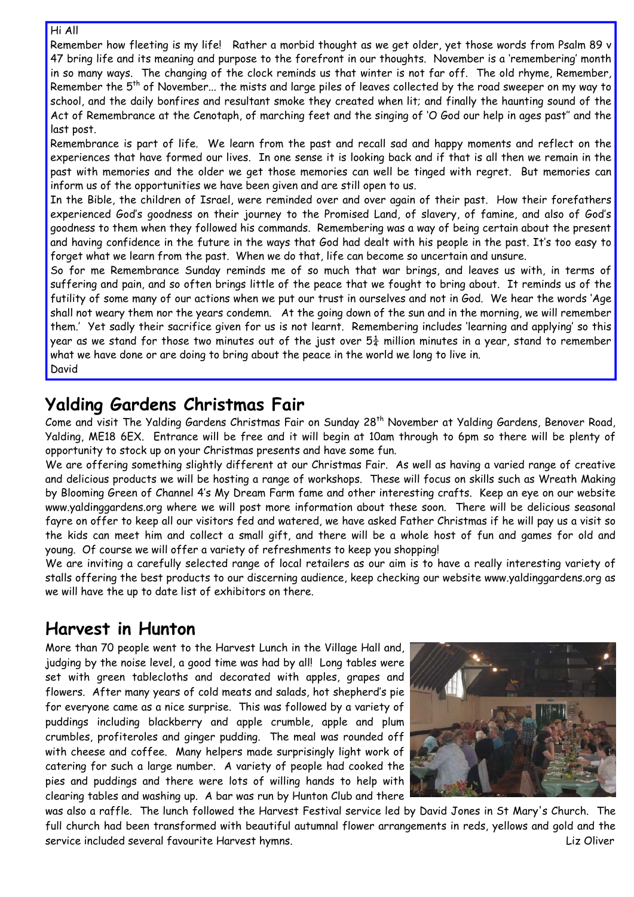#### Hi All

Remember how fleeting is my life! Rather a morbid thought as we get older, yet those words from Psalm 89 v 47 bring life and its meaning and purpose to the forefront in our thoughts. November is a 'remembering' month in so many ways. The changing of the clock reminds us that winter is not far off. The old rhyme, Remember, Remember the 5<sup>th</sup> of November... the mists and large piles of leaves collected by the road sweeper on my way to school, and the daily bonfires and resultant smoke they created when lit; and finally the haunting sound of the Act of Remembrance at the Cenotaph, of marching feet and the singing of 'O God our help in ages past'' and the last post.

Remembrance is part of life. We learn from the past and recall sad and happy moments and reflect on the experiences that have formed our lives. In one sense it is looking back and if that is all then we remain in the past with memories and the older we get those memories can well be tinged with regret. But memories can inform us of the opportunities we have been given and are still open to us.

In the Bible, the children of Israel, were reminded over and over again of their past. How their forefathers experienced God's goodness on their journey to the Promised Land, of slavery, of famine, and also of God's goodness to them when they followed his commands. Remembering was a way of being certain about the present and having confidence in the future in the ways that God had dealt with his people in the past. It's too easy to forget what we learn from the past. When we do that, life can become so uncertain and unsure.

So for me Remembrance Sunday reminds me of so much that war brings, and leaves us with, in terms of suffering and pain, and so often brings little of the peace that we fought to bring about. It reminds us of the futility of some many of our actions when we put our trust in ourselves and not in God. We hear the words 'Age shall not weary them nor the years condemn. At the going down of the sun and in the morning, we will remember them.' Yet sadly their sacrifice given for us is not learnt. Remembering includes 'learning and applying' so this year as we stand for those two minutes out of the just over  $5\frac{1}{4}$  million minutes in a year, stand to remember what we have done or are doing to bring about the peace in the world we long to live in. David

### **Yalding Gardens Christmas Fair**

Come and visit The Yalding Gardens Christmas Fair on Sunday 28<sup>th</sup> November at Yalding Gardens, Benover Road, Yalding, ME18 6EX. Entrance will be free and it will begin at 10am through to 6pm so there will be plenty of opportunity to stock up on your Christmas presents and have some fun.

We are offering something slightly different at our Christmas Fair. As well as having a varied range of creative and delicious products we will be hosting a range of workshops. These will focus on skills such as Wreath Making by Blooming Green of Channel 4's My Dream Farm fame and other interesting crafts. Keep an eye on our website www.yaldinggardens.org where we will post more information about these soon. There will be delicious seasonal fayre on offer to keep all our visitors fed and watered, we have asked Father Christmas if he will pay us a visit so the kids can meet him and collect a small gift, and there will be a whole host of fun and games for old and young. Of course we will offer a variety of refreshments to keep you shopping!

We are inviting a carefully selected range of local retailers as our aim is to have a really interesting variety of stalls offering the best products to our discerning audience, keep checking our website www.yaldinggardens.org as we will have the up to date list of exhibitors on there.

## **Harvest in Hunton**

More than 70 people went to the Harvest Lunch in the Village Hall and, judging by the noise level, a good time was had by all! Long tables were set with green tablecloths and decorated with apples, grapes and flowers. After many years of cold meats and salads, hot shepherd's pie for everyone came as a nice surprise. This was followed by a variety of puddings including blackberry and apple crumble, apple and plum crumbles, profiteroles and ginger pudding. The meal was rounded off with cheese and coffee. Many helpers made surprisingly light work of catering for such a large number. A variety of people had cooked the pies and puddings and there were lots of willing hands to help with clearing tables and washing up. A bar was run by Hunton Club and there



was also a raffle. The lunch followed the Harvest Festival service led by David Jones in St Mary's Church. The full church had been transformed with beautiful autumnal flower arrangements in reds, yellows and gold and the service included several favourite Harvest hymns. Liz Oliver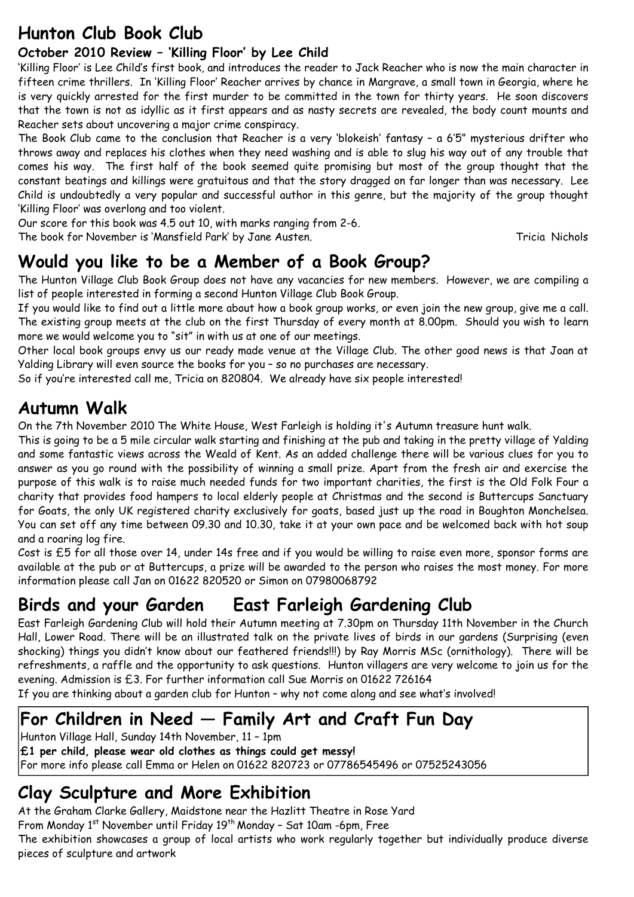# **Hunton Club Book Club**

### **October 2010 Review – 'Killing Floor' by Lee Child**

'Killing Floor' is Lee Child's first book, and introduces the reader to Jack Reacher who is now the main character in fifteen crime thrillers. In 'Killing Floor' Reacher arrives by chance in Margrave, a small town in Georgia, where he is very quickly arrested for the first murder to be committed in the town for thirty years. He soon discovers that the town is not as idyllic as it first appears and as nasty secrets are revealed, the body count mounts and Reacher sets about uncovering a major crime conspiracy.

The Book Club came to the conclusion that Reacher is a very 'blokeish' fantasy – a 6'5" mysterious drifter who throws away and replaces his clothes when they need washing and is able to slug his way out of any trouble that comes his way. The first half of the book seemed quite promising but most of the group thought that the constant beatings and killings were gratuitous and that the story dragged on far longer than was necessary. Lee Child is undoubtedly a very popular and successful author in this genre, but the majority of the group thought 'Killing Floor' was overlong and too violent.

Our score for this book was 4.5 out 10, with marks ranging from 2-6. The book for November is 'Mansfield Park' by Jane Austen. Tricia Nichols

# **Would you like to be a Member of a Book Group?**

The Hunton Village Club Book Group does not have any vacancies for new members. However, we are compiling a list of people interested in forming a second Hunton Village Club Book Group.

If you would like to find out a little more about how a book group works, or even join the new group, give me a call. The existing group meets at the club on the first Thursday of every month at 8.00pm. Should you wish to learn more we would welcome you to "sit" in with us at one of our meetings.

Other local book groups envy us our ready made venue at the Village Club. The other good news is that Joan at Yalding Library will even source the books for you – so no purchases are necessary.

So if you're interested call me, Tricia on 820804. We already have six people interested!

## **Autumn Walk**

On the 7th November 2010 The White House, West Farleigh is holding it's Autumn treasure hunt walk.

This is going to be a 5 mile circular walk starting and finishing at the pub and taking in the pretty village of Yalding and some fantastic views across the Weald of Kent. As an added challenge there will be various clues for you to answer as you go round with the possibility of winning a small prize. Apart from the fresh air and exercise the purpose of this walk is to raise much needed funds for two important charities, the first is the Old Folk Four a charity that provides food hampers to local elderly people at Christmas and the second is Buttercups Sanctuary for Goats, the only UK registered charity exclusively for goats, based just up the road in Boughton Monchelsea. You can set off any time between 09.30 and 10.30, take it at your own pace and be welcomed back with hot soup and a roaring log fire.

Cost is £5 for all those over 14, under 14s free and if you would be willing to raise even more, sponsor forms are available at the pub or at Buttercups, a prize will be awarded to the person who raises the most money. For more information please call Jan on 01622 820520 or Simon on 07980068792

# **Birds and your Garden East Farleigh Gardening Club**

East Farleigh Gardening Club will hold their Autumn meeting at 7.30pm on Thursday 11th November in the Church Hall, Lower Road. There will be an illustrated talk on the private lives of birds in our gardens (Surprising (even shocking) things you didn't know about our feathered friends!!!) by Ray Morris MSc (ornithology). There will be refreshments, a raffle and the opportunity to ask questions. Hunton villagers are very welcome to join us for the evening. Admission is £3. For further information call Sue Morris on 01622 726164

If you are thinking about a garden club for Hunton – why not come along and see what's involved!

# **For Children in Need — Family Art and Craft Fun Day**

Hunton Village Hall, Sunday 14th November, 11 – 1pm **£1 per child, please wear old clothes as things could get messy!**  For more info please call Emma or Helen on 01622 820723 or 07786545496 or 07525243056

## **Clay Sculpture and More Exhibition**

At the Graham Clarke Gallery, Maidstone near the Hazlitt Theatre in Rose Yard

From Monday 1<sup>st</sup> November until Friday 19<sup>th</sup> Monday - Sat 10am -6pm, Free

The exhibition showcases a group of local artists who work regularly together but individually produce diverse pieces of sculpture and artwork